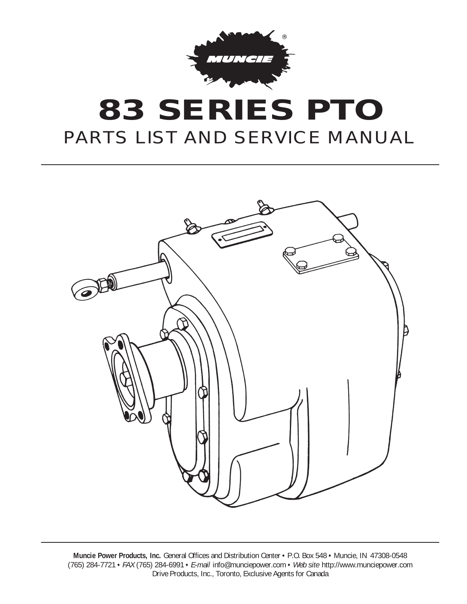

## **83 SERIES PTO** PARTS LIST AND SERVICE MANUAL



**Muncie Power Products, Inc.** General Offices and Distribution Center **•** P.O. Box 548 **•** Muncie, IN 47308-0548 (765) 284-7721 **•** *FAX* (765) 284-6991 **•** *E-mail* info@munciepower.com **•** *Web site* http://www.munciepower.com Drive Products, Inc., Toronto, Exclusive Agents for Canada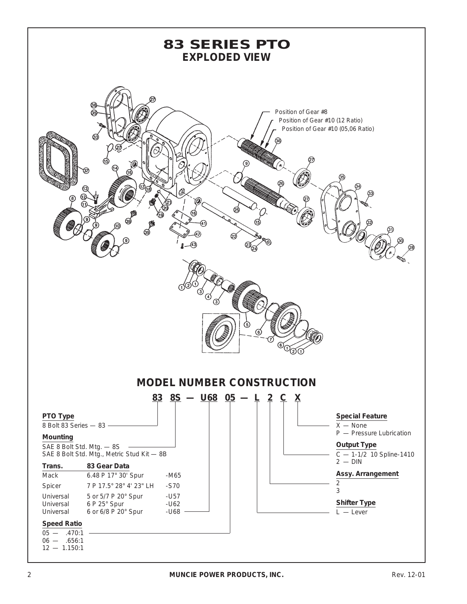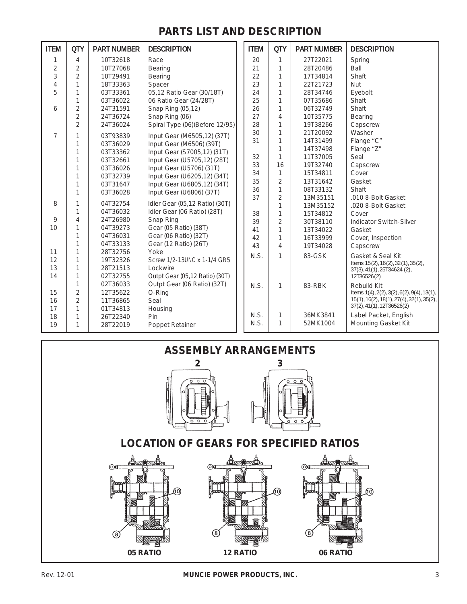## **PARTS LIST AND DESCRIPTION**

| <b>ITEM</b>    | <b>QTY</b>     | <b>PART NUMBER</b>   | <b>DESCRIPTION</b>                 | <b>ITEM</b> | <b>QTY</b>     | <b>PART NUMBER</b> | <b>DESCRIPTION</b>                                          |
|----------------|----------------|----------------------|------------------------------------|-------------|----------------|--------------------|-------------------------------------------------------------|
| 1              | $\overline{4}$ | 10T32618             | Race                               | 20          | $\mathbf{1}$   | 27T22021           | Spring                                                      |
| $\overline{2}$ | $\overline{2}$ | 10T27068             | <b>Bearing</b>                     | 21          | $\mathbf{1}$   | 28T20486           | Ball                                                        |
| 3              | $\overline{2}$ | 10T29491             | Bearing                            | 22          | $\mathbf{1}$   | 17T34814           | Shaft                                                       |
| $\overline{4}$ | 1              | 18T33363             | Spacer                             | 23          | $\mathbf{1}$   | 22T21723           | Nut                                                         |
| 5              |                | 03T33361             | 05,12 Ratio Gear (30/18T)          | 24          | $\mathbf{1}$   | 28T34746           | Eyebolt                                                     |
|                |                | 03T36022             | 06 Ratio Gear (24/28T)             | 25          | $\mathbf{1}$   | 07T35686           | Shaft                                                       |
| 6              | $\overline{2}$ | 24T31591             | Snap Ring (05,12)                  | 26          | $\mathbf{1}$   | 06T32749           | Shaft                                                       |
|                | 2              | 24T36724             | Snap Ring (06)                     | 27          | 4              | 10T35775           | Bearing                                                     |
|                | $\overline{2}$ | 24T36024             | Spiral Type (06)(Before 12/95)     | 28          | $\mathbf{1}$   | 19T38266           | Capscrew                                                    |
| $\overline{7}$ |                | 03T93839             | Input Gear (M6505,12) (37T)        | 30          | $\mathbf{1}$   | 21T20092           | Washer                                                      |
|                |                | 03T36029             | Input Gear (M6506) (39T)           | 31          | $\mathbf{1}$   | 14T31499           | Flange "C"                                                  |
|                |                | 03T33362             | Input Gear (S7005,12) (31T)        |             | $\mathbf{1}$   | 14T37498           | Flange "Z"                                                  |
|                |                | 03T32661             | Input Gear (U5705,12) (28T)        | 32          | $\mathbf{1}$   | 11T37005           | Seal                                                        |
|                |                | 03T36026             | Input Gear (U5706) (31T)           | 33          | 16             | 19T32740           | Capscrew                                                    |
|                |                | 03T32739             | Input Gear (U6205,12) (34T)        | 34          | $\mathbf{1}$   | 15T34811           | Cover                                                       |
|                | 1              | 03T31647             | Input Gear (U6805,12) (34T)        | 35          | $\overline{2}$ | 13T31642           | Gasket                                                      |
|                | 1              | 03T36028             | Input Gear (U6806) (37T)           | 36          | $\mathbf{1}$   | 08T33132           | Shaft                                                       |
| 8              |                |                      |                                    | 37          | 2              | 13M35151           | .010 8-Bolt Gasket                                          |
|                |                | 04T32754<br>04T36032 | Idler Gear (05,12 Ratio) (30T)     |             | $\mathbf{1}$   | 13M35152           | .020 8-Bolt Gasket                                          |
| 9              | $\overline{4}$ | 24T26980             | Idler Gear (06 Ratio) (28T)        | 38          | $\mathbf{1}$   | 15T34812           | Cover                                                       |
| 10             |                | 04T39273             | Snap Ring<br>Gear (05 Ratio) (38T) | 39          | $\overline{2}$ | 30T38110           | <b>Indicator Switch-Silver</b>                              |
|                |                | 04T36031             | Gear (06 Ratio) (32T)              | 41          | $\mathbf{1}$   | 13T34022           | Gasket                                                      |
|                |                | 04T33133             |                                    | 42          | $\mathbf{1}$   | 16T33999           | Cover, Inspection                                           |
| 11             | 1              | 28T32756             | Gear (12 Ratio) (26T)<br>Yoke      | 43          | $\overline{4}$ | 19T34028           | Capscrew                                                    |
| 12             |                | 19T32326             | Screw 1/2-13UNC x 1-1/4 GR5        | N.S.        | $\mathbf{1}$   | 83-GSK             | Gasket & Seal Kit                                           |
| 13             |                | 28T21513             | Lockwire                           |             |                |                    | Items 15(2), 16(2), 32(1), 35(2),                           |
| 14             |                | 02T32755             | Outpt Gear (05,12 Ratio) (30T)     |             |                |                    | 37(3), 41(1), 25T34624 (2),<br>12T36526(2)                  |
|                |                | 02T36033             | Outpt Gear (06 Ratio) (32T)        | N.S.        | $\mathbf{1}$   | 83-RBK             | Rebuild Kit                                                 |
| 15             | $\overline{2}$ | 12T35622             | O-Ring                             |             |                |                    | Items 1(4), 2(2), 3(2), 6(2), 9(4), 13(1),                  |
| 16             | 2              | 11T36865             | Seal                               |             |                |                    | $15(1)$ , $16(2)$ , $18(1)$ , $27(4)$ , $32(1)$ , $35(2)$ , |
| 17             | 1              | 01T34813             | Housing                            |             |                |                    | 37(2), 41(1), 12T36526(2)                                   |
| 18             |                | 26T22340             | Pin                                | N.S.        | $\mathbf{1}$   | 36MK3841           | Label Packet, English                                       |
| 19             | 1              | 28T22019             | Poppet Retainer                    | N.S.        | $\mathbf{1}$   | 52MK1004           | Mounting Gasket Kit                                         |
|                |                |                      |                                    |             |                |                    |                                                             |



Rev. 12-01 **MUNCIE POWER PRODUCTS, INC.** 3